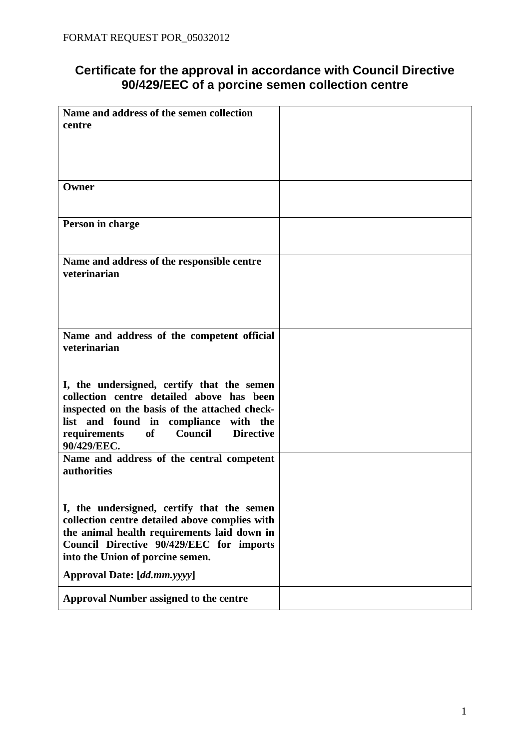## **Certificate for the approval in accordance with Council Directive 90/429/EEC of a porcine semen collection centre**

| Name and address of the semen collection                                                      |  |
|-----------------------------------------------------------------------------------------------|--|
| centre                                                                                        |  |
|                                                                                               |  |
|                                                                                               |  |
|                                                                                               |  |
| Owner                                                                                         |  |
|                                                                                               |  |
|                                                                                               |  |
| Person in charge                                                                              |  |
|                                                                                               |  |
| Name and address of the responsible centre                                                    |  |
| veterinarian                                                                                  |  |
|                                                                                               |  |
|                                                                                               |  |
|                                                                                               |  |
|                                                                                               |  |
| Name and address of the competent official<br>veterinarian                                    |  |
|                                                                                               |  |
|                                                                                               |  |
| I, the undersigned, certify that the semen                                                    |  |
| collection centre detailed above has been                                                     |  |
| inspected on the basis of the attached check-                                                 |  |
| list and found in compliance with the                                                         |  |
| of<br>Council<br><b>Directive</b><br>requirements<br>90/429/EEC.                              |  |
| Name and address of the central competent                                                     |  |
| authorities                                                                                   |  |
|                                                                                               |  |
|                                                                                               |  |
| I, the undersigned, certify that the semen                                                    |  |
| collection centre detailed above complies with<br>the animal health requirements laid down in |  |
| Council Directive 90/429/EEC for imports                                                      |  |
| into the Union of porcine semen.                                                              |  |
| Approval Date: [dd.mm.yyyy]                                                                   |  |
|                                                                                               |  |
| <b>Approval Number assigned to the centre</b>                                                 |  |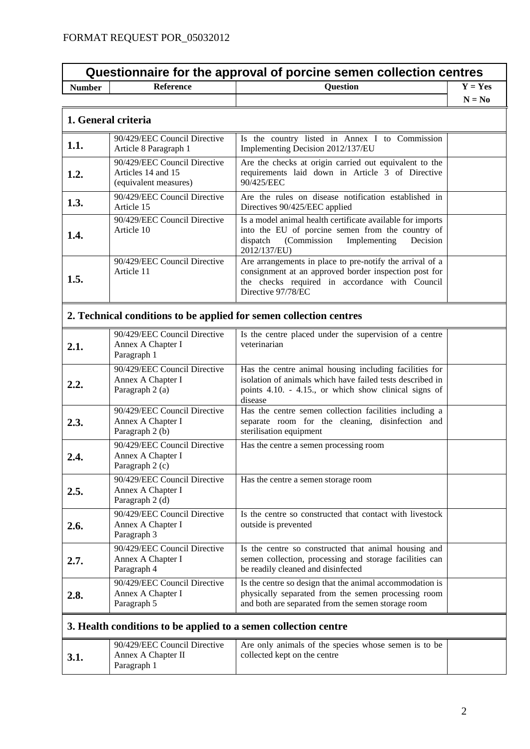| Questionnaire for the approval of porcine semen collection centres |                                                                             |                                                                                                                                                                                           |           |
|--------------------------------------------------------------------|-----------------------------------------------------------------------------|-------------------------------------------------------------------------------------------------------------------------------------------------------------------------------------------|-----------|
| <b>Number</b>                                                      | <b>Reference</b>                                                            | <b>Question</b>                                                                                                                                                                           | $Y = Yes$ |
|                                                                    |                                                                             |                                                                                                                                                                                           | $N = No$  |
|                                                                    | 1. General criteria                                                         |                                                                                                                                                                                           |           |
| 1.1.                                                               | 90/429/EEC Council Directive<br>Article 8 Paragraph 1                       | Is the country listed in Annex I to Commission<br>Implementing Decision 2012/137/EU                                                                                                       |           |
| 1.2.                                                               | 90/429/EEC Council Directive<br>Articles 14 and 15<br>(equivalent measures) | Are the checks at origin carried out equivalent to the<br>requirements laid down in Article 3 of Directive<br>90/425/EEC                                                                  |           |
| 1.3.                                                               | 90/429/EEC Council Directive<br>Article 15                                  | Are the rules on disease notification established in<br>Directives 90/425/EEC applied                                                                                                     |           |
| 1.4.                                                               | 90/429/EEC Council Directive<br>Article 10                                  | Is a model animal health certificate available for imports<br>into the EU of porcine semen from the country of<br>dispatch<br>(Commission<br>Implementing<br>Decision<br>2012/137/EU)     |           |
| 1.5.                                                               | 90/429/EEC Council Directive<br>Article 11                                  | Are arrangements in place to pre-notify the arrival of a<br>consignment at an approved border inspection post for<br>the checks required in accordance with Council<br>Directive 97/78/EC |           |
|                                                                    | 2. Technical conditions to be applied for semen collection centres          |                                                                                                                                                                                           |           |
| 2.1.                                                               | 90/429/EEC Council Directive<br>Annex A Chapter I<br>Paragraph 1            | Is the centre placed under the supervision of a centre<br>veterinarian                                                                                                                    |           |
| 2.2.                                                               | 90/429/EEC Council Directive<br>Annex A Chapter I<br>Paragraph 2 (a)        | Has the centre animal housing including facilities for<br>isolation of animals which have failed tests described in<br>points 4.10. - 4.15., or which show clinical signs of<br>disease   |           |
| 2.3.                                                               | 90/429/EEC Council Directive<br>Annex A Chapter I<br>Paragraph 2 (b)        | Has the centre semen collection facilities including a<br>separate room for the cleaning, disinfection and<br>sterilisation equipment                                                     |           |
| 2.4.                                                               | 90/429/EEC Council Directive<br>Annex A Chapter I<br>Paragraph 2 (c)        | Has the centre a semen processing room                                                                                                                                                    |           |
| 2.5.                                                               | 90/429/EEC Council Directive<br>Annex A Chapter I<br>Paragraph 2 (d)        | Has the centre a semen storage room                                                                                                                                                       |           |
| 2.6.                                                               | 90/429/EEC Council Directive<br>Annex A Chapter I<br>Paragraph 3            | Is the centre so constructed that contact with livestock<br>outside is prevented                                                                                                          |           |
| 2.7.                                                               | 90/429/EEC Council Directive<br>Annex A Chapter I<br>Paragraph 4            | Is the centre so constructed that animal housing and<br>semen collection, processing and storage facilities can<br>be readily cleaned and disinfected                                     |           |
| 2.8.                                                               | 90/429/EEC Council Directive<br>Annex A Chapter I<br>Paragraph 5            | Is the centre so design that the animal accommodation is<br>physically separated from the semen processing room<br>and both are separated from the semen storage room                     |           |
| 3. Health conditions to be applied to a semen collection centre    |                                                                             |                                                                                                                                                                                           |           |
| 3.1.                                                               | 90/429/EEC Council Directive<br>Annex A Chapter II<br>Paragraph 1           | Are only animals of the species whose semen is to be<br>collected kept on the centre                                                                                                      |           |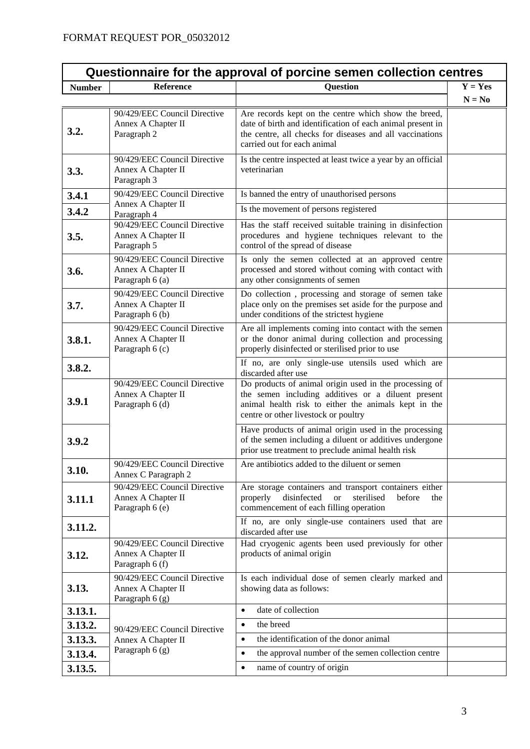| Questionnaire for the approval of porcine semen collection centres |                                                                       |                                                                                                                                                                                                               |           |
|--------------------------------------------------------------------|-----------------------------------------------------------------------|---------------------------------------------------------------------------------------------------------------------------------------------------------------------------------------------------------------|-----------|
| <b>Number</b>                                                      | <b>Reference</b>                                                      | <b>Question</b>                                                                                                                                                                                               | $Y = Yes$ |
|                                                                    |                                                                       |                                                                                                                                                                                                               | $N = No$  |
| 3.2.                                                               | 90/429/EEC Council Directive<br>Annex A Chapter II<br>Paragraph 2     | Are records kept on the centre which show the breed,<br>date of birth and identification of each animal present in<br>the centre, all checks for diseases and all vaccinations<br>carried out for each animal |           |
| 3.3.                                                               | 90/429/EEC Council Directive<br>Annex A Chapter II<br>Paragraph 3     | Is the centre inspected at least twice a year by an official<br>veterinarian                                                                                                                                  |           |
| 3.4.1                                                              | 90/429/EEC Council Directive                                          | Is banned the entry of unauthorised persons                                                                                                                                                                   |           |
| 3.4.2                                                              | Annex A Chapter II<br>Paragraph 4                                     | Is the movement of persons registered                                                                                                                                                                         |           |
| 3.5.                                                               | 90/429/EEC Council Directive<br>Annex A Chapter II<br>Paragraph 5     | Has the staff received suitable training in disinfection<br>procedures and hygiene techniques relevant to the<br>control of the spread of disease                                                             |           |
| 3.6.                                                               | 90/429/EEC Council Directive<br>Annex A Chapter II<br>Paragraph 6 (a) | Is only the semen collected at an approved centre<br>processed and stored without coming with contact with<br>any other consignments of semen                                                                 |           |
| 3.7.                                                               | 90/429/EEC Council Directive<br>Annex A Chapter II<br>Paragraph 6 (b) | Do collection, processing and storage of semen take<br>place only on the premises set aside for the purpose and<br>under conditions of the strictest hygiene                                                  |           |
| 3.8.1.                                                             | 90/429/EEC Council Directive<br>Annex A Chapter II<br>Paragraph 6 (c) | Are all implements coming into contact with the semen<br>or the donor animal during collection and processing<br>properly disinfected or sterilised prior to use                                              |           |
| 3.8.2.                                                             |                                                                       | If no, are only single-use utensils used which are<br>discarded after use                                                                                                                                     |           |
| 3.9.1                                                              | 90/429/EEC Council Directive<br>Annex A Chapter II<br>Paragraph 6 (d) | Do products of animal origin used in the processing of<br>the semen including additives or a diluent present<br>animal health risk to either the animals kept in the<br>centre or other livestock or poultry  |           |
| 3.9.2                                                              |                                                                       | Have products of animal origin used in the processing<br>of the semen including a diluent or additives undergone<br>prior use treatment to preclude animal health risk                                        |           |
| 3.10.                                                              | 90/429/EEC Council Directive<br>Annex C Paragraph 2                   | Are antibiotics added to the diluent or semen                                                                                                                                                                 |           |
| 3.11.1                                                             | 90/429/EEC Council Directive<br>Annex A Chapter II<br>Paragraph 6 (e) | Are storage containers and transport containers either<br>disinfected<br>sterilised<br>properly<br><b>or</b><br>before<br>the<br>commencement of each filling operation                                       |           |
| 3.11.2.                                                            |                                                                       | If no, are only single-use containers used that are<br>discarded after use                                                                                                                                    |           |
| 3.12.                                                              | 90/429/EEC Council Directive<br>Annex A Chapter II<br>Paragraph 6 (f) | Had cryogenic agents been used previously for other<br>products of animal origin                                                                                                                              |           |
| 3.13.                                                              | 90/429/EEC Council Directive<br>Annex A Chapter II<br>Paragraph 6 (g) | Is each individual dose of semen clearly marked and<br>showing data as follows:                                                                                                                               |           |
| 3.13.1.                                                            |                                                                       | date of collection<br>$\bullet$                                                                                                                                                                               |           |
| 3.13.2.                                                            | 90/429/EEC Council Directive                                          | the breed<br>$\bullet$                                                                                                                                                                                        |           |
| 3.13.3.                                                            | Annex A Chapter II                                                    | the identification of the donor animal<br>$\bullet$                                                                                                                                                           |           |
| 3.13.4.                                                            | Paragraph 6 (g)                                                       | the approval number of the semen collection centre<br>$\bullet$                                                                                                                                               |           |
| 3.13.5.                                                            |                                                                       | name of country of origin<br>$\bullet$                                                                                                                                                                        |           |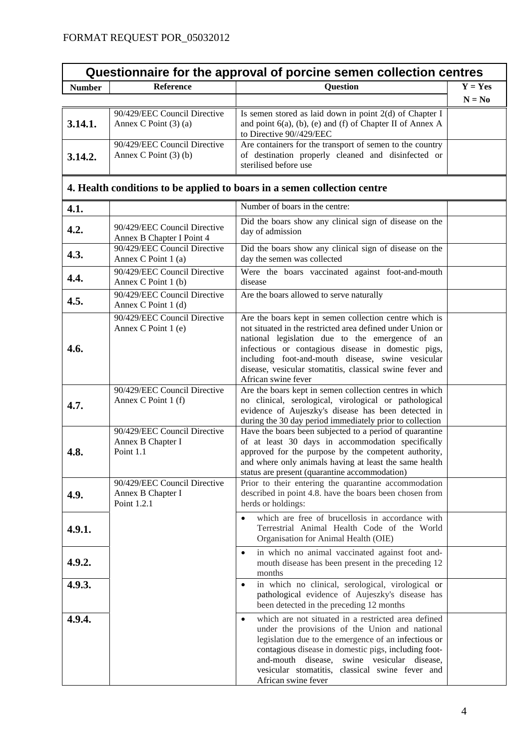| Questionnaire for the approval of porcine semen collection centres |                                                                  |                                                                                                                                                                                                                                                                                                                                                                       |           |
|--------------------------------------------------------------------|------------------------------------------------------------------|-----------------------------------------------------------------------------------------------------------------------------------------------------------------------------------------------------------------------------------------------------------------------------------------------------------------------------------------------------------------------|-----------|
| <b>Number</b>                                                      | <b>Reference</b>                                                 | <b>Question</b>                                                                                                                                                                                                                                                                                                                                                       | $Y = Yes$ |
|                                                                    |                                                                  |                                                                                                                                                                                                                                                                                                                                                                       | $N = No$  |
| 3.14.1.                                                            | 90/429/EEC Council Directive<br>Annex C Point $(3)$ (a)          | Is semen stored as laid down in point 2(d) of Chapter I<br>and point $6(a)$ , (b), (e) and (f) of Chapter II of Annex A<br>to Directive 90//429/EEC                                                                                                                                                                                                                   |           |
| 3.14.2.                                                            | 90/429/EEC Council Directive<br>Annex C Point $(3)$ (b)          | Are containers for the transport of semen to the country<br>of destination properly cleaned and disinfected or<br>sterilised before use                                                                                                                                                                                                                               |           |
|                                                                    |                                                                  | 4. Health conditions to be applied to boars in a semen collection centre                                                                                                                                                                                                                                                                                              |           |
| 4.1.                                                               |                                                                  | Number of boars in the centre:                                                                                                                                                                                                                                                                                                                                        |           |
| 4.2.                                                               | 90/429/EEC Council Directive<br>Annex B Chapter I Point 4        | Did the boars show any clinical sign of disease on the<br>day of admission                                                                                                                                                                                                                                                                                            |           |
| 4.3.                                                               | 90/429/EEC Council Directive<br>Annex C Point 1 (a)              | Did the boars show any clinical sign of disease on the<br>day the semen was collected                                                                                                                                                                                                                                                                                 |           |
| 4.4.                                                               | 90/429/EEC Council Directive<br>Annex C Point 1 (b)              | Were the boars vaccinated against foot-and-mouth<br>disease                                                                                                                                                                                                                                                                                                           |           |
| 4.5.                                                               | 90/429/EEC Council Directive<br>Annex C Point 1 (d)              | Are the boars allowed to serve naturally                                                                                                                                                                                                                                                                                                                              |           |
| 4.6.                                                               | 90/429/EEC Council Directive<br>Annex C Point 1 (e)              | Are the boars kept in semen collection centre which is<br>not situated in the restricted area defined under Union or<br>national legislation due to the emergence of an<br>infectious or contagious disease in domestic pigs,<br>including foot-and-mouth disease, swine vesicular<br>disease, vesicular stomatitis, classical swine fever and<br>African swine fever |           |
| 4.7.                                                               | 90/429/EEC Council Directive<br>Annex C Point 1 (f)              | Are the boars kept in semen collection centres in which<br>no clinical, serological, virological or pathological<br>evidence of Aujeszky's disease has been detected in<br>during the 30 day period immediately prior to collection                                                                                                                                   |           |
| 4.8.                                                               | 90/429/EEC Council Directive<br>Annex B Chapter I<br>Point 1.1   | Have the boars been subjected to a period of quarantine<br>of at least 30 days in accommodation specifically<br>approved for the purpose by the competent authority,<br>and where only animals having at least the same health<br>status are present (quarantine accommodation)                                                                                       |           |
| 4.9.                                                               | 90/429/EEC Council Directive<br>Annex B Chapter I<br>Point 1.2.1 | Prior to their entering the quarantine accommodation<br>described in point 4.8. have the boars been chosen from<br>herds or holdings:                                                                                                                                                                                                                                 |           |
| 4.9.1.                                                             |                                                                  | which are free of brucellosis in accordance with<br>$\bullet$<br>Terrestrial Animal Health Code of the World<br>Organisation for Animal Health (OIE)                                                                                                                                                                                                                  |           |
| 4.9.2.                                                             |                                                                  | in which no animal vaccinated against foot and-<br>$\bullet$<br>mouth disease has been present in the preceding 12<br>months                                                                                                                                                                                                                                          |           |
| 4.9.3.                                                             |                                                                  | in which no clinical, serological, virological or<br>$\bullet$<br>pathological evidence of Aujeszky's disease has<br>been detected in the preceding 12 months                                                                                                                                                                                                         |           |
| 4.9.4.                                                             |                                                                  | which are not situated in a restricted area defined<br>$\bullet$<br>under the provisions of the Union and national<br>legislation due to the emergence of an infectious or<br>contagious disease in domestic pigs, including foot-<br>and-mouth disease, swine vesicular disease,<br>vesicular stomatitis, classical swine fever and<br>African swine fever           |           |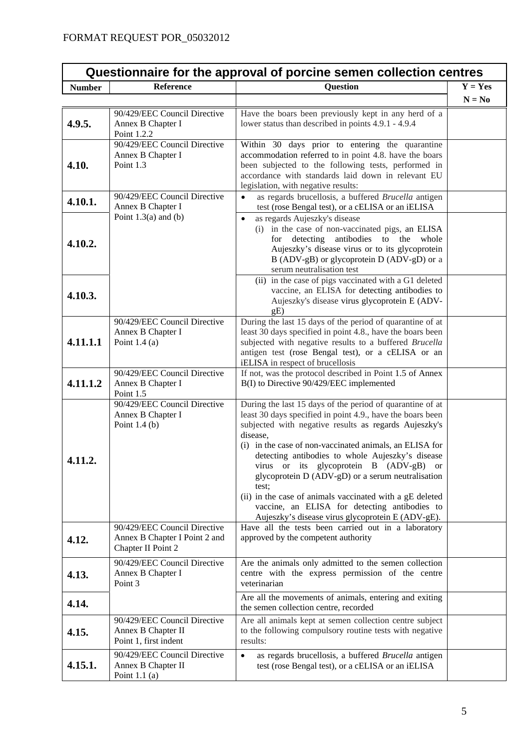| Questionnaire for the approval of porcine semen collection centres |                                                                                     |                                                                                                                                                                                                                                                                                                                                                                                                                                                                                                                                                                                        |           |
|--------------------------------------------------------------------|-------------------------------------------------------------------------------------|----------------------------------------------------------------------------------------------------------------------------------------------------------------------------------------------------------------------------------------------------------------------------------------------------------------------------------------------------------------------------------------------------------------------------------------------------------------------------------------------------------------------------------------------------------------------------------------|-----------|
| <b>Number</b>                                                      | <b>Reference</b>                                                                    | <b>Question</b>                                                                                                                                                                                                                                                                                                                                                                                                                                                                                                                                                                        | $Y = Yes$ |
|                                                                    |                                                                                     |                                                                                                                                                                                                                                                                                                                                                                                                                                                                                                                                                                                        | $N = No$  |
| 4.9.5.                                                             | 90/429/EEC Council Directive<br>Annex B Chapter I<br>Point 1.2.2                    | Have the boars been previously kept in any herd of a<br>lower status than described in points 4.9.1 - 4.9.4                                                                                                                                                                                                                                                                                                                                                                                                                                                                            |           |
| 4.10.                                                              | 90/429/EEC Council Directive<br>Annex B Chapter I<br>Point 1.3                      | Within 30 days prior to entering the quarantine<br>accommodation referred to in point 4.8. have the boars<br>been subjected to the following tests, performed in<br>accordance with standards laid down in relevant EU<br>legislation, with negative results:                                                                                                                                                                                                                                                                                                                          |           |
| 4.10.1.                                                            | 90/429/EEC Council Directive<br>Annex B Chapter I                                   | as regards brucellosis, a buffered Brucella antigen<br>test (rose Bengal test), or a cELISA or an iELISA                                                                                                                                                                                                                                                                                                                                                                                                                                                                               |           |
| 4.10.2.                                                            | Point $1.3(a)$ and $(b)$                                                            | as regards Aujeszky's disease<br>$\bullet$<br>(i) in the case of non-vaccinated pigs, an ELISA<br>detecting antibodies to the whole<br>for<br>Aujeszky's disease virus or to its glycoprotein<br>B (ADV-gB) or glycoprotein D (ADV-gD) or a<br>serum neutralisation test                                                                                                                                                                                                                                                                                                               |           |
| 4.10.3.                                                            |                                                                                     | (ii) in the case of pigs vaccinated with a G1 deleted<br>vaccine, an ELISA for detecting antibodies to<br>Aujeszky's disease virus glycoprotein E (ADV-<br>gE)                                                                                                                                                                                                                                                                                                                                                                                                                         |           |
| 4.11.1.1                                                           | 90/429/EEC Council Directive<br>Annex B Chapter I<br>Point $1.4(a)$                 | During the last 15 days of the period of quarantine of at<br>least 30 days specified in point 4.8., have the boars been<br>subjected with negative results to a buffered Brucella<br>antigen test (rose Bengal test), or a cELISA or an<br>iELISA in respect of brucellosis                                                                                                                                                                                                                                                                                                            |           |
| 4.11.1.2                                                           | 90/429/EEC Council Directive<br>Annex B Chapter I<br>Point 1.5                      | If not, was the protocol described in Point 1.5 of Annex<br>B(I) to Directive 90/429/EEC implemented                                                                                                                                                                                                                                                                                                                                                                                                                                                                                   |           |
| 4.11.2                                                             | 90/429/EEC Council Directive<br>Annex B Chapter I<br>Point $1.4(b)$                 | During the last 15 days of the period of quarantine of at<br>least 30 days specified in point 4.9., have the boars been<br>subjected with negative results as regards Aujeszky's<br>disease,<br>(i) in the case of non-vaccinated animals, an ELISA for<br>detecting antibodies to whole Aujeszky's disease<br>virus or its glycoprotein B (ADV-gB) or<br>glycoprotein D (ADV-gD) or a serum neutralisation<br>test:<br>(ii) in the case of animals vaccinated with a gE deleted<br>vaccine, an ELISA for detecting antibodies to<br>Aujeszky's disease virus glycoprotein E (ADV-gE). |           |
| 4.12.                                                              | 90/429/EEC Council Directive<br>Annex B Chapter I Point 2 and<br>Chapter II Point 2 | Have all the tests been carried out in a laboratory<br>approved by the competent authority                                                                                                                                                                                                                                                                                                                                                                                                                                                                                             |           |
| 4.13.                                                              | 90/429/EEC Council Directive<br>Annex B Chapter I<br>Point 3                        | Are the animals only admitted to the semen collection<br>centre with the express permission of the centre<br>veterinarian                                                                                                                                                                                                                                                                                                                                                                                                                                                              |           |
| 4.14.                                                              |                                                                                     | Are all the movements of animals, entering and exiting<br>the semen collection centre, recorded                                                                                                                                                                                                                                                                                                                                                                                                                                                                                        |           |
| 4.15.                                                              | 90/429/EEC Council Directive<br>Annex B Chapter II<br>Point 1, first indent         | Are all animals kept at semen collection centre subject<br>to the following compulsory routine tests with negative<br>results:                                                                                                                                                                                                                                                                                                                                                                                                                                                         |           |
| 4.15.1.                                                            | 90/429/EEC Council Directive<br>Annex B Chapter II<br>Point $1.1$ (a)               | as regards brucellosis, a buffered Brucella antigen<br>$\bullet$<br>test (rose Bengal test), or a cELISA or an iELISA                                                                                                                                                                                                                                                                                                                                                                                                                                                                  |           |